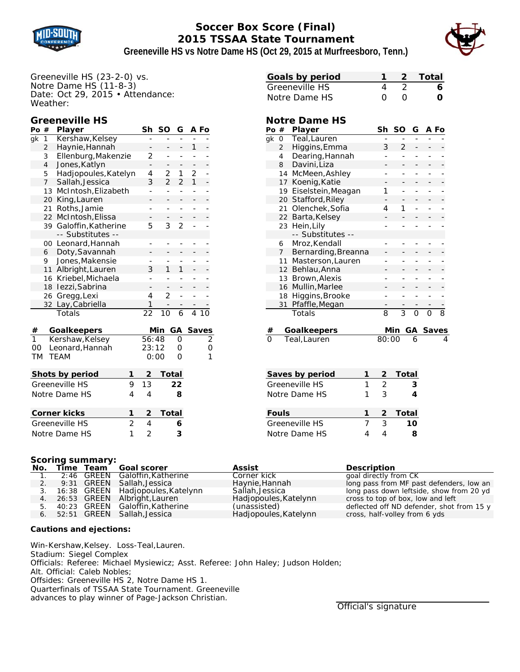

# **Soccer Box Score (Final) 2015 TSSAA State Tournament**



**Greeneville HS vs Notre Dame HS (Oct 29, 2015 at Murfreesboro, Tenn.)**

Greeneville HS (23-2-0) vs. Notre Dame HS (11-8-3) Date: Oct 29, 2015 • Attendance: Weather:

# **Greeneville HS**

| Po                  | #              | Player                   | Sh             | SΟ             | G              |              | A Fo     |
|---------------------|----------------|--------------------------|----------------|----------------|----------------|--------------|----------|
| gk                  | 1              | Kershaw, Kelsey          |                |                |                |              |          |
|                     | $\overline{2}$ | Haynie, Hannah           |                |                | -              | 1            |          |
|                     | 3              | Ellenburg, Makenzie      | 2              | -              | $\overline{a}$ |              |          |
|                     | $\overline{4}$ | Jones, Katlyn            |                |                |                |              |          |
|                     | 5              | Hadjopoules, Katelyn     | 4              | 2              | 1              | 2            |          |
|                     | $\overline{7}$ | Sallah, Jessica          | 3              | $\overline{2}$ | $\overline{2}$ | $\mathbf{1}$ |          |
|                     | 13             | McIntosh, Elizabeth      |                | -              | ÷,             |              |          |
|                     | 20             | King, Lauren             |                |                |                |              |          |
|                     | 21             | Roths, Jamie             |                | -              | -              |              |          |
|                     | 22             | McIntosh, Elissa         |                |                |                |              |          |
|                     | 39             | Galoffin, Katherine      | 5              | 3              | $\overline{2}$ |              |          |
|                     |                | -- Substitutes --        |                |                |                |              |          |
|                     | 00             | Leonard, Hannah          | -              | -              | -              |              |          |
|                     | 6              | Doty, Savannah           |                |                |                |              |          |
|                     | 9              | Jones, Makensie          |                |                |                |              |          |
|                     | 11             | Albright, Lauren         | 3              | 1              | 1              |              |          |
|                     | 16             | Kriebel, Michaela        |                |                | -              |              |          |
|                     | 18             | Iezzi, Sabrina           |                |                | -              |              |          |
|                     | 26             | Gregg, Lexi              | 4              | $\overline{2}$ | $\overline{a}$ |              |          |
|                     | 32             | Lay, Cabriella           | 1              |                |                |              |          |
|                     |                | Totals                   | 22             | 10             | 6              | 4            |          |
| #                   |                | <b>Goalkeepers</b>       |                | Min            |                |              | GA Saves |
| 1                   |                | Kershaw, Kelsey          | 56:48          |                | O              |              | 2        |
| 00                  |                | Leonard, Hannah          | 23:12          |                | 0              |              | O        |
| TM                  |                | TEAM                     |                | 0:00           | 0              |              | 1        |
|                     |                | Shots by period<br>1     | $\overline{2}$ | Total          |                |              |          |
| Greeneville HS<br>9 |                |                          |                |                | 22             |              |          |
| 4<br>Notre Dame HS  |                |                          |                |                | 8              |              |          |
|                     |                | 1<br><b>Corner kicks</b> | $\overline{2}$ | Total          |                |              |          |

| Goals by period |          |                  | 1 2 Total |
|-----------------|----------|------------------|-----------|
| Greeneville HS  |          |                  | 6         |
| Notre Dame HS   | $\Omega$ | $\left( \right)$ | o         |

### **Notre Dame HS**

| Po | #              | Player              | Sh | SΟ | G | A Fo |   |
|----|----------------|---------------------|----|----|---|------|---|
| gk | 0              | Teal,Lauren         |    |    |   |      |   |
|    | $\overline{2}$ | Higgins, Emma       | 3  | 2  |   |      |   |
|    | 4              | Dearing, Hannah     |    |    |   |      |   |
|    | 8              | Davini, Liza        |    |    |   |      |   |
|    | 14             | McMeen, Ashley      |    |    |   |      |   |
|    | 17             | Koenig, Katie       |    |    |   |      |   |
|    | 19             | Eiselstein, Meagan  | 1  |    |   |      |   |
|    | 20             | Stafford, Riley     |    |    |   |      |   |
|    | 21             | Olenchek, Sofia     | 4  |    |   |      |   |
|    | 22             | Barta, Kelsey       |    |    |   |      |   |
|    | 23             | Hein, Lily          |    |    |   |      |   |
|    |                | -- Substitutes --   |    |    |   |      |   |
|    | 6              | Mroz, Kendall       |    |    |   |      |   |
|    | 7              | Bernarding, Breanna |    |    |   |      |   |
|    | 11             | Masterson, Lauren   |    |    |   |      |   |
|    | 12             | Behlau, Anna        |    |    |   |      |   |
|    | 13             | Brown, Alexis       |    |    |   |      |   |
|    | 16             | Mullin, Marlee      |    |    |   |      |   |
|    | 18             | Higgins, Brooke     |    |    |   |      |   |
|    | 31             | Pfaffle, Megan      |    |    |   |      |   |
|    |                | Totals              | 8  | 3  | ∩ |      | 8 |
|    |                |                     |    |    |   |      |   |

|   | # Goalkeepers |        | Min GA Saves |
|---|---------------|--------|--------------|
| 0 | Teal.Lauren   | 80:006 |              |

| Saves by period | 2 | Total   |
|-----------------|---|---------|
| Greeneville HS  | 2 | 3       |
| Notre Dame HS   | 3 | Δ       |
|                 |   |         |
| <b>Fouls</b>    |   | 2 Total |
| Greeneville HS  | 3 | 10      |
| Notre Dame HS   |   | я       |

#### **Scoring summary:**

Greeneville HS 2 4 6 Notre Dame HS 1 2 3

| No. |  | Time Team Goal scorer                | Assist                | <b>Description</b>                        |
|-----|--|--------------------------------------|-----------------------|-------------------------------------------|
|     |  | 2:46 GREEN Galoffin.Katherine        | Corner kick           | goal directly from CK                     |
|     |  | 9:31 GREEN Sallah, Jessica           | Haynie, Hannah        | long pass from MF past defenders, low an  |
|     |  | 3. 16:38 GREEN Hadiopoules, Katelynn | Sallah, Jessica       | long pass down leftside, show from 20 yd  |
|     |  | 4. 26:53 GREEN Albright, Lauren      | Hadjopoules, Katelynn | cross to top of box, low and left         |
|     |  | 5. 40:23 GREEN Galoffin.Katherine    | (unassisted)          | deflected off ND defender, shot from 15 y |
| 6.  |  | 52:51 GREEN Sallah, Jessica          | Hadjopoules, Katelynn | cross, half-volley from 6 yds             |

#### **Cautions and ejections:**

Win-Kershaw,Kelsey. Loss-Teal,Lauren. Stadium: Siegel Complex Officials: Referee: Michael Mysiewicz; Asst. Referee: John Haley; Judson Holden; Alt. Official: Caleb Nobles; Offsides: Greeneville HS 2, Notre Dame HS 1. Quarterfinals of TSSAA State Tournament. Greeneville advances to play winner of Page-Jackson Christian.

Official's signature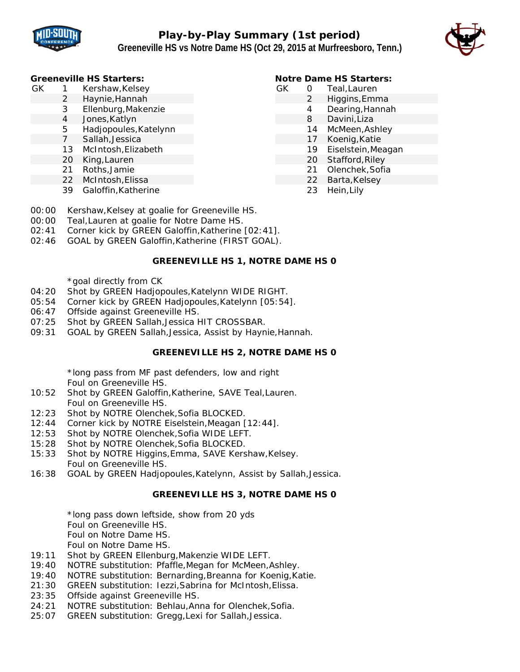



#### **Greeneville HS Starters:**

- GK 1 Kershaw,Kelsey
	- 2 Haynie,Hannah
	- 3 Ellenburg,Makenzie
		- 4 Jones,Katlyn
		- 5 Hadjopoules,Katelynn
		- 7 Sallah,Jessica
		- 13 McIntosh,Elizabeth
	- 20 King,Lauren
	- 21 Roths,Jamie
	- 22 McIntosh,Elissa
	- 39 Galoffin,Katherine

# **Notre Dame HS Starters:**

- GK 0 Teal,Lauren
	- 2 Higgins,Emma
		- 4 Dearing,Hannah
		- 8 Davini,Liza
		- 14 McMeen,Ashley
		- 17 Koenig,Katie
		- 19 Eiselstein,Meagan
		- 20 Stafford,Riley
		- 21 Olenchek,Sofia
		- 22 Barta, Kelsey
		- 23 Hein,Lily
- 00:00 Kershaw,Kelsey at goalie for Greeneville HS.
- 00:00 Teal,Lauren at goalie for Notre Dame HS.
- 02:41 Corner kick by GREEN Galoffin,Katherine [02:41].
- 02:46 GOAL by GREEN Galoffin,Katherine (FIRST GOAL).

# **GREENEVILLE HS 1, NOTRE DAME HS 0**

\*goal directly from CK

- 04:20 Shot by GREEN Hadjopoules,Katelynn WIDE RIGHT.
- 05:54 Corner kick by GREEN Hadjopoules,Katelynn [05:54].
- 06:47 Offside against Greeneville HS.
- 07:25 Shot by GREEN Sallah,Jessica HIT CROSSBAR.
- 09:31 GOAL by GREEN Sallah,Jessica, Assist by Haynie,Hannah.

# **GREENEVILLE HS 2, NOTRE DAME HS 0**

\*long pass from MF past defenders, low and right Foul on Greeneville HS.

- 10:52 Shot by GREEN Galoffin,Katherine, SAVE Teal,Lauren. Foul on Greeneville HS.
- 12:23 Shot by NOTRE Olenchek,Sofia BLOCKED.
- 12:44 Corner kick by NOTRE Eiselstein,Meagan [12:44].
- 12:53 Shot by NOTRE Olenchek,Sofia WIDE LEFT.
- 15:28 Shot by NOTRE Olenchek,Sofia BLOCKED.
- 15:33 Shot by NOTRE Higgins,Emma, SAVE Kershaw,Kelsey. Foul on Greeneville HS.
- 16:38 GOAL by GREEN Hadjopoules,Katelynn, Assist by Sallah,Jessica.

# **GREENEVILLE HS 3, NOTRE DAME HS 0**

\*long pass down leftside, show from 20 yds Foul on Greeneville HS.

Foul on Notre Dame HS.

Foul on Notre Dame HS.

- 19:11 Shot by GREEN Ellenburg,Makenzie WIDE LEFT.
- 19:40 NOTRE substitution: Pfaffle,Megan for McMeen,Ashley.
- 19:40 NOTRE substitution: Bernarding,Breanna for Koenig,Katie.
- 21:30 GREEN substitution: Iezzi,Sabrina for McIntosh,Elissa.
- 23:35 Offside against Greeneville HS.
- 24:21 NOTRE substitution: Behlau,Anna for Olenchek,Sofia.
- 25:07 GREEN substitution: Gregg,Lexi for Sallah,Jessica.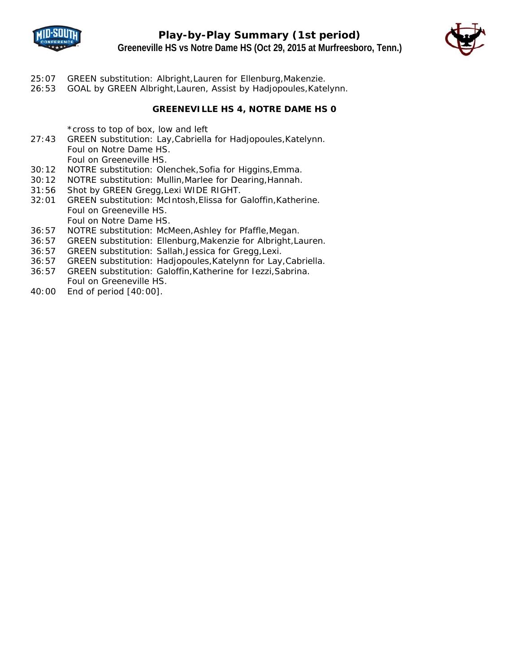

**Play-by-Play Summary (1st period) Greeneville HS vs Notre Dame HS (Oct 29, 2015 at Murfreesboro, Tenn.)**



- 25:07 GREEN substitution: Albright,Lauren for Ellenburg,Makenzie.
- 26:53 GOAL by GREEN Albright,Lauren, Assist by Hadjopoules,Katelynn.

#### **GREENEVILLE HS 4, NOTRE DAME HS 0**

\*cross to top of box, low and left

- 27:43 GREEN substitution: Lay,Cabriella for Hadjopoules,Katelynn. Foul on Notre Dame HS. Foul on Greeneville HS.
- 30:12 NOTRE substitution: Olenchek,Sofia for Higgins,Emma.
- 30:12 NOTRE substitution: Mullin,Marlee for Dearing,Hannah.
- 31:56 Shot by GREEN Gregg,Lexi WIDE RIGHT.
- 32:01 GREEN substitution: McIntosh,Elissa for Galoffin,Katherine. Foul on Greeneville HS. Foul on Notre Dame HS.
- 36:57 NOTRE substitution: McMeen,Ashley for Pfaffle,Megan.
- 36:57 GREEN substitution: Ellenburg,Makenzie for Albright,Lauren.
- 36:57 GREEN substitution: Sallah,Jessica for Gregg,Lexi.
- 36:57 GREEN substitution: Hadjopoules,Katelynn for Lay,Cabriella.
- 36:57 GREEN substitution: Galoffin,Katherine for Iezzi,Sabrina. Foul on Greeneville HS.
- 40:00 End of period [40:00].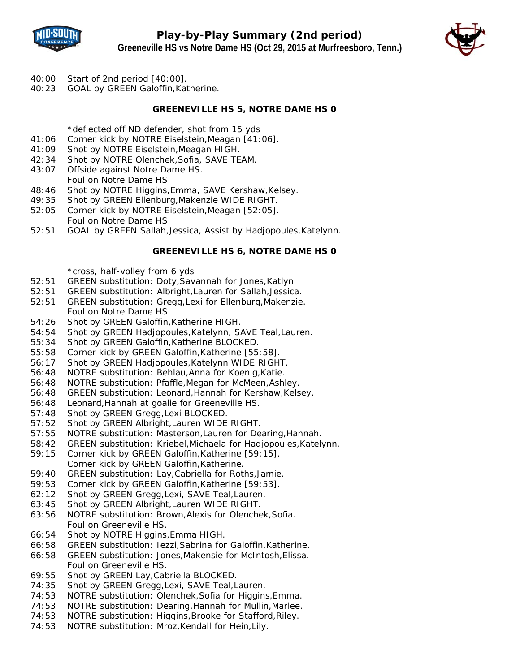



- 40:00 Start of 2nd period [40:00].
- 40:23 GOAL by GREEN Galoffin,Katherine.

#### **GREENEVILLE HS 5, NOTRE DAME HS 0**

\*deflected off ND defender, shot from 15 yds

- 41:06 Corner kick by NOTRE Eiselstein,Meagan [41:06].
- 41:09 Shot by NOTRE Eiselstein,Meagan HIGH.
- 42:34 Shot by NOTRE Olenchek,Sofia, SAVE TEAM.
- 43:07 Offside against Notre Dame HS. Foul on Notre Dame HS.
- 48:46 Shot by NOTRE Higgins,Emma, SAVE Kershaw,Kelsey.
- 49:35 Shot by GREEN Ellenburg,Makenzie WIDE RIGHT.
- 52:05 Corner kick by NOTRE Eiselstein,Meagan [52:05]. Foul on Notre Dame HS.
- 52:51 GOAL by GREEN Sallah,Jessica, Assist by Hadjopoules,Katelynn.

#### **GREENEVILLE HS 6, NOTRE DAME HS 0**

\*cross, half-volley from 6 yds

- 52:51 GREEN substitution: Doty,Savannah for Jones,Katlyn.
- 52:51 GREEN substitution: Albright,Lauren for Sallah,Jessica.
- 52:51 GREEN substitution: Gregg,Lexi for Ellenburg,Makenzie. Foul on Notre Dame HS.
- 54:26 Shot by GREEN Galoffin,Katherine HIGH.
- 54:54 Shot by GREEN Hadjopoules,Katelynn, SAVE Teal,Lauren.
- 55:34 Shot by GREEN Galoffin,Katherine BLOCKED.
- 55:58 Corner kick by GREEN Galoffin,Katherine [55:58].
- 56:17 Shot by GREEN Hadjopoules,Katelynn WIDE RIGHT.
- 56:48 NOTRE substitution: Behlau,Anna for Koenig,Katie.
- 56:48 NOTRE substitution: Pfaffle,Megan for McMeen,Ashley.
- 56:48 GREEN substitution: Leonard,Hannah for Kershaw,Kelsey.
- 56:48 Leonard,Hannah at goalie for Greeneville HS.
- 57:48 Shot by GREEN Gregg,Lexi BLOCKED.
- 57:52 Shot by GREEN Albright,Lauren WIDE RIGHT.
- 57:55 NOTRE substitution: Masterson,Lauren for Dearing,Hannah.
- 58:42 GREEN substitution: Kriebel,Michaela for Hadjopoules,Katelynn.
- 59:15 Corner kick by GREEN Galoffin,Katherine [59:15]. Corner kick by GREEN Galoffin,Katherine.
- 59:40 GREEN substitution: Lay,Cabriella for Roths,Jamie.
- 59:53 Corner kick by GREEN Galoffin,Katherine [59:53].
- 62:12 Shot by GREEN Gregg,Lexi, SAVE Teal,Lauren.
- 63:45 Shot by GREEN Albright,Lauren WIDE RIGHT.
- 63:56 NOTRE substitution: Brown,Alexis for Olenchek,Sofia. Foul on Greeneville HS.
- 66:54 Shot by NOTRE Higgins,Emma HIGH.
- 66:58 GREEN substitution: Iezzi,Sabrina for Galoffin,Katherine.
- 66:58 GREEN substitution: Jones,Makensie for McIntosh,Elissa. Foul on Greeneville HS.
- 69:55 Shot by GREEN Lay,Cabriella BLOCKED.
- 74:35 Shot by GREEN Gregg,Lexi, SAVE Teal,Lauren.
- 74:53 NOTRE substitution: Olenchek,Sofia for Higgins,Emma.
- 74:53 NOTRE substitution: Dearing,Hannah for Mullin,Marlee.
- 74:53 NOTRE substitution: Higgins,Brooke for Stafford,Riley.
- 74:53 NOTRE substitution: Mroz,Kendall for Hein,Lily.